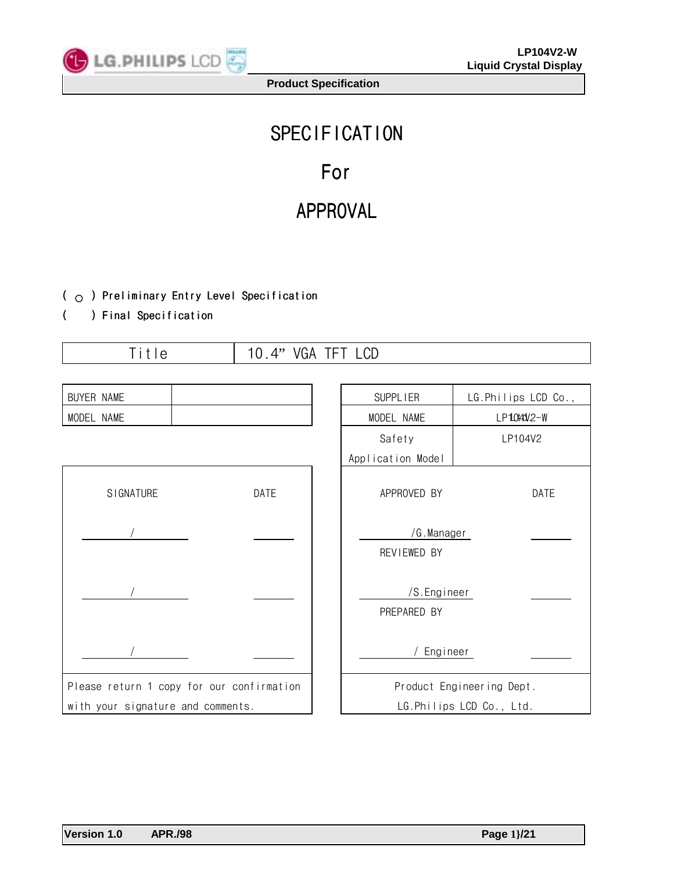

# **SPECIFICATION** For

## APPROVAL

## ( $\circ$ ) Preliminary Entry Level Specification

## ( ) Final Specification

Title 10.4" VGA TFT LCD

| BUYER NAME                                |      |  | SUPPL IER                  | LG.Philips LCD Co.,       |  |
|-------------------------------------------|------|--|----------------------------|---------------------------|--|
| MODEL NAME                                |      |  | MODEL NAME                 | LP1040V2-W                |  |
|                                           |      |  | Safety                     | LP104V2                   |  |
|                                           |      |  | Application Model          |                           |  |
| <b>SIGNATURE</b>                          | DATE |  | APPROVED BY                | DATE                      |  |
|                                           |      |  | /G.Manager<br>REVIEWED BY  |                           |  |
|                                           |      |  | /S.Engineer<br>PREPARED BY |                           |  |
|                                           |      |  | Engineer                   |                           |  |
| Please return 1 copy for our confirmation |      |  |                            | Product Engineering Dept. |  |
| with your signature and comments.         |      |  |                            | LG.Philips LCD Co., Ltd.  |  |

**Version 1.0 APR./98 Page 1}/21**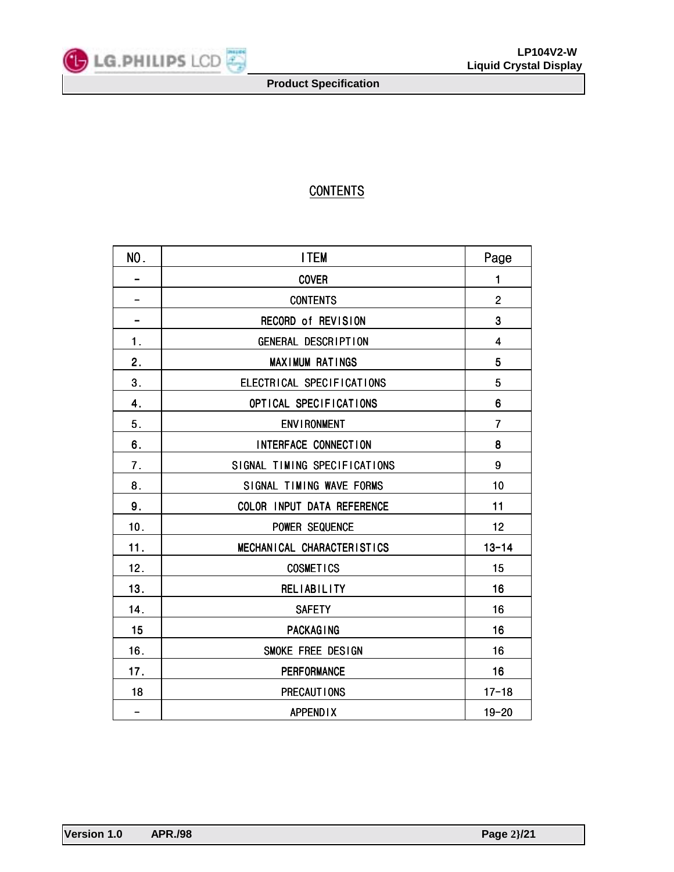

## **CONTENTS**

| NO.                      | <b>ITEM</b>                  | Page           |
|--------------------------|------------------------------|----------------|
|                          | <b>COVER</b>                 | 1              |
|                          | <b>CONTENTS</b>              | $\overline{2}$ |
| -                        | RECORD of REVISION           | 3              |
| 1.                       | GENERAL DESCRIPTION          | $\overline{4}$ |
| 2.                       | <b>MAXIMUM RATINGS</b>       | 5              |
| 3.                       | ELECTRICAL SPECIFICATIONS    | 5              |
| 4.                       | OPTICAL SPECIFICATIONS       | 6              |
| 5.                       | <b>ENVIRONMENT</b>           | $\overline{7}$ |
| 6.                       | INTERFACE CONNECTION         | 8              |
| 7.                       | SIGNAL TIMING SPECIFICATIONS | 9              |
| 8.                       | SIGNAL TIMING WAVE FORMS     | 10             |
| 9.                       | COLOR INPUT DATA REFERENCE   | 11             |
| 10.                      | POWER SEQUENCE               | 12             |
| 11.                      | MECHANICAL CHARACTERISTICS   | $13 - 14$      |
| 12.                      | <b>COSMETICS</b>             | 15             |
| 13.                      | <b>RELIABILITY</b>           | 16             |
| 14.                      | <b>SAFETY</b>                | 16             |
| 15                       | PACKAGING                    | 16             |
| 16.                      | SMOKE FREE DESIGN            | 16             |
| 17.                      | <b>PERFORMANCE</b>           | 16             |
| 18                       | PRECAUT I ONS                | $17 - 18$      |
| $\overline{\phantom{0}}$ | <b>APPENDIX</b>              | $19 - 20$      |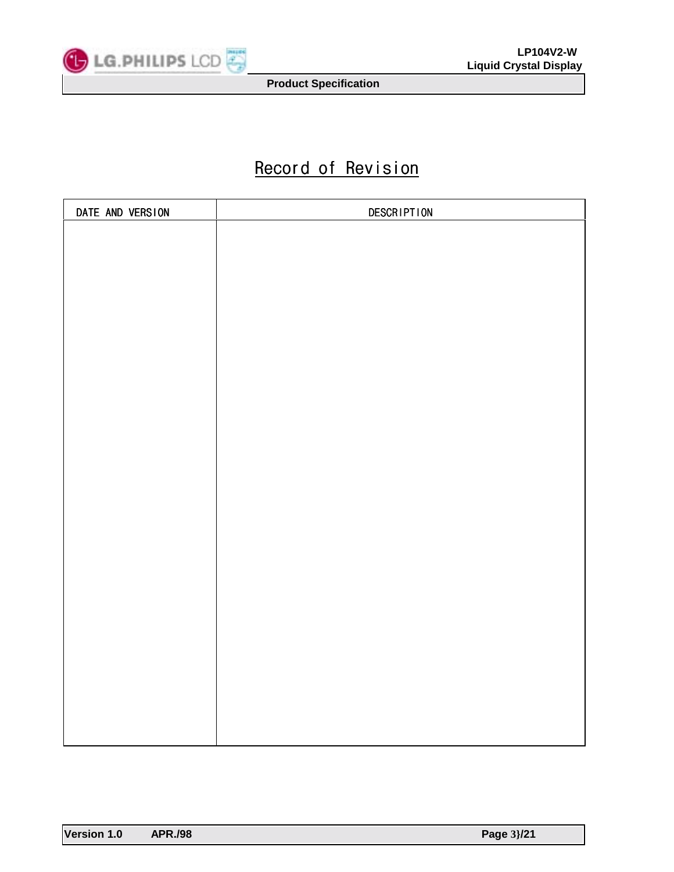

## Record of Revision

| DATE AND VERSION | <b>DESCRIPTION</b> |
|------------------|--------------------|
|                  |                    |
|                  |                    |
|                  |                    |
|                  |                    |
|                  |                    |
|                  |                    |
|                  |                    |
|                  |                    |
|                  |                    |
|                  |                    |
|                  |                    |
|                  |                    |
|                  |                    |
|                  |                    |
|                  |                    |
|                  |                    |
|                  |                    |
|                  |                    |
|                  |                    |
|                  |                    |
|                  |                    |
|                  |                    |
|                  |                    |
|                  |                    |
|                  |                    |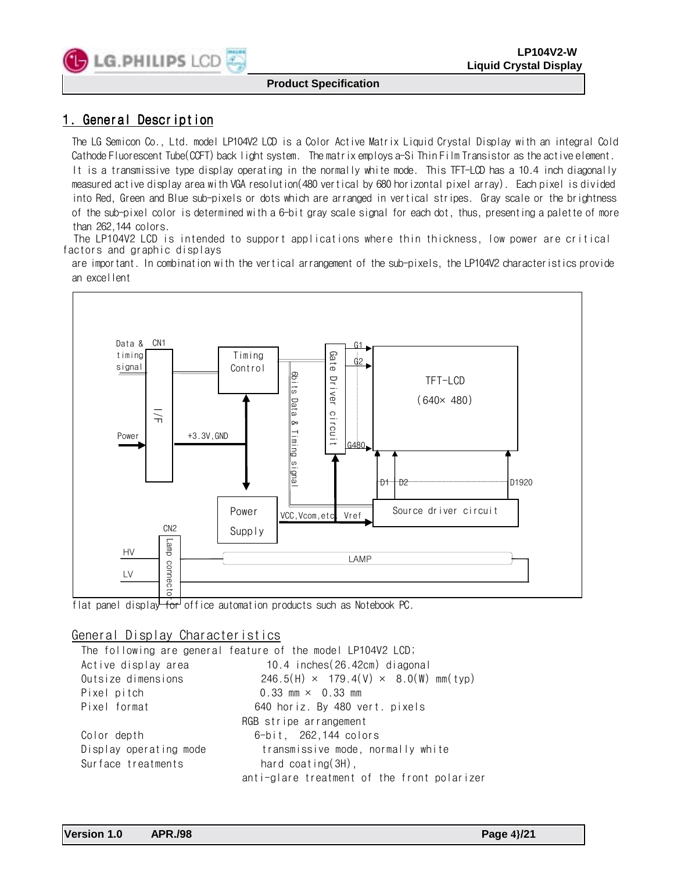

## 1. General Description

The LG Semicon Co., Ltd. model LP104V2 LCD is a Color Active Matrix Liquid Crystal Display with an integral Cold Cathode Fluorescent Tube(CCFT) back light system. The matrix employs a-Si Thin Film Transistor as the active element. It is a transmissive type display operating in the normally white mode. This TFT-LCD has a 10.4 inch diagonally measured active display area with VGA resolution(480 vertical by 680 horizontal pixel array). Each pixel is divided

into Red, Green and Blue sub-pixels or dots which are arranged in vertical stripes. Gray scale or the brightness of the sub-pixel color is determined with a 6-bit gray scale signal for each dot, thus, presenting a palette of more than 262,144 colors.

 The LP104V2 LCD is intended to support applications where thin thickness, low power are critical factors and graphic displays

are important. In combination with the vertical arrangement of the sub-pixels, the LP104V2 characteristics provide an excellent



flat panel display for office automation products such as Notebook PC.

## General Display Characteristics

The following are general feature of the model LP104V2 LCD; Active display area 10.4 inches(26.42cm) diagonal Outsize dimensions 246.5(H)  $\times$  179.4(V)  $\times$  8.0(W) mm(typ) Pixel pitch 0.33 mm × 0.33 mm Pixel format 640 horiz. By 480 vert. pixels RGB stripe arrangement Color depth 6-bit, 262,144 colors Display operating mode transmissive mode, normally white Surface treatments hard coating(3H), anti-glare treatment of the front polarizer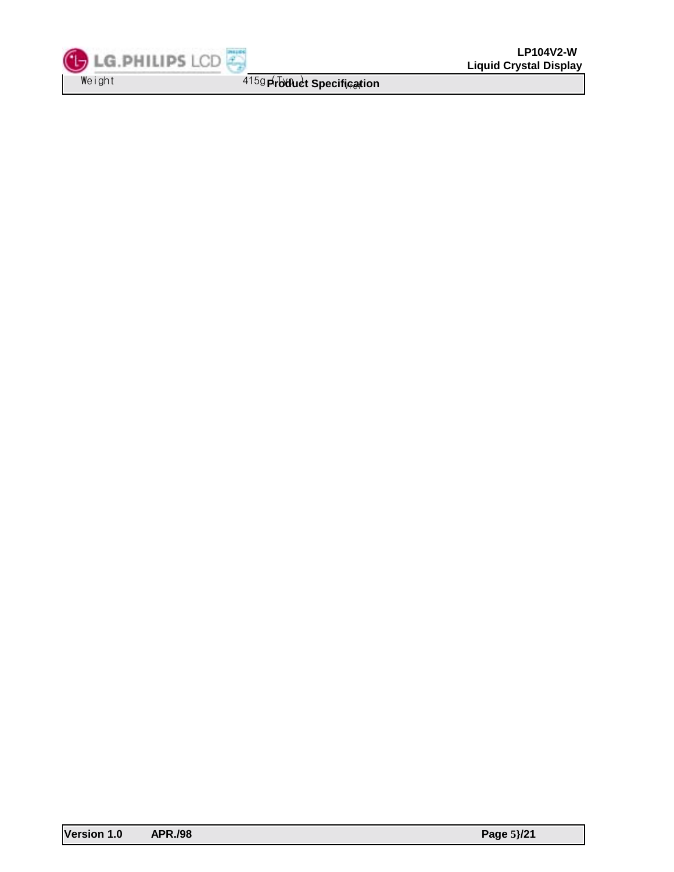LG.PHILIPS LCD Weight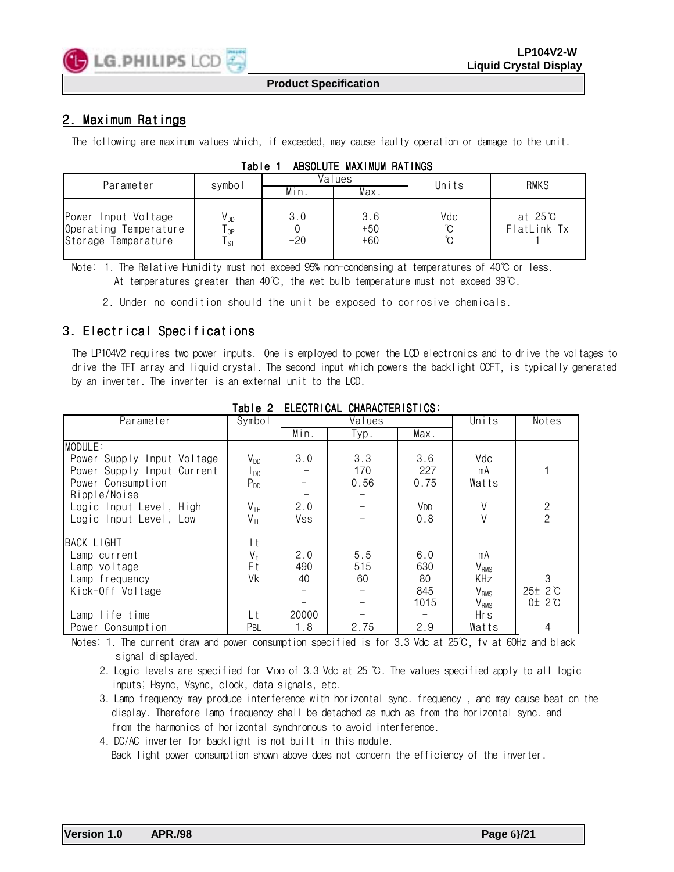

## 2. Maximum Ratings

The following are maximum values which, if exceeded, may cause faulty operation or damage to the unit.

| Parameter                                                           | symbol                                                |              | Values                | Units           | <b>RMKS</b>           |  |
|---------------------------------------------------------------------|-------------------------------------------------------|--------------|-----------------------|-----------------|-----------------------|--|
|                                                                     |                                                       | Min.         | Max.                  |                 |                       |  |
| Power Input Voltage<br>Operating Temperature<br>Storage Temperature | V <sub>DD</sub><br>$\mathsf{T}_{\mathsf{OP}}$<br>l st | 3.0<br>$-20$ | 3.6<br>$+50$<br>$+60$ | Vdc<br>°C<br>ືບ | at 25℃<br>FlatLink Tx |  |

| Table 1 | ABSOLUTE MAXIMUM RATINGS |  |  |
|---------|--------------------------|--|--|
|---------|--------------------------|--|--|

Note: 1. The Relative Humidity must not exceed 95% non-condensing at temperatures of 40℃ or less. At temperatures greater than 40℃, the wet bulb temperature must not exceed 39℃.

2. Under no condition should the unit be exposed to corrosive chemicals.

## 3. Electrical Specifications

The LP104V2 requires two power inputs. One is employed to power the LCD electronics and to drive the voltages to drive the TFT array and liquid crystal. The second input which powers the backlight CCFT, is typically generated by an inverter. The inverter is an external unit to the LCD.

| Parameter                  | Symbol                     |       | Values | Units           | Notes                  |               |
|----------------------------|----------------------------|-------|--------|-----------------|------------------------|---------------|
|                            |                            | Min.  | Typ.   | Max.            |                        |               |
| MODULE:                    |                            |       |        |                 |                        |               |
| Power Supply Input Voltage | $V_{DD}$                   | 3.0   | 3.3    | 3.6             | Vdc                    |               |
| Power Supply Input Current | $\mathsf{I}_{\mathsf{DD}}$ |       | 170    | 227             | mA                     |               |
| Power Consumption          | $P_{DD}$                   |       | 0.56   | 0.75            | Watts                  |               |
| Ripple/Noise               |                            |       |        |                 |                        |               |
| Logic Input Level, High    | $V_{\text{IH}}$            | 2.0   |        | V <sub>DD</sub> | V                      | $\frac{2}{2}$ |
| Logic Input Level, Low     | $V_{IL}$                   | Vss   |        | 0.8             |                        |               |
| BACK LIGHT                 | l t                        |       |        |                 |                        |               |
| Lamp current               | $V_t$                      | 2.0   | 5.5    | 6.0             | mA                     |               |
| Lamp voltage               | Εt                         | 490   | 515    | 630             | <b>V<sub>RMS</sub></b> |               |
| Lamp frequency             | Vk                         | 40    | 60     | 80              | <b>KHz</b>             | 3             |
| Kick-Off Voltage           |                            |       |        | 845             | V <sub>RMS</sub>       | 25± 2°C       |
|                            |                            |       |        | 1015            | V <sub>RMS</sub>       | 0±2°C         |
| Lamp life time             | Lt                         | 20000 |        |                 | Hrs                    |               |
| Power Consumption          | Pbl                        | 1.8   | 2.75   | 2.9             | Watts                  | 4             |

#### Table 2 FIFCTRICAL CHARACTERISTICS:

Notes: 1. The current draw and power consumption specified is for 3.3 Vdc at 25℃, fv at 60Hz and black signal displayed.

 2. Logic levels are specified for VDD of 3.3 Vdc at 25 ℃. The values specified apply to all logic inputs; Hsync, Vsync, clock, data signals, etc.

 3. Lamp frequency may produce interference with horizontal sync. frequency , and may cause beat on the display. Therefore lamp frequency shall be detached as much as from the horizontal sync. and from the harmonics of horizontal synchronous to avoid interference.

4. DC/AC inverter for backlight is not built in this module.

Back light power consumption shown above does not concern the efficiency of the inverter.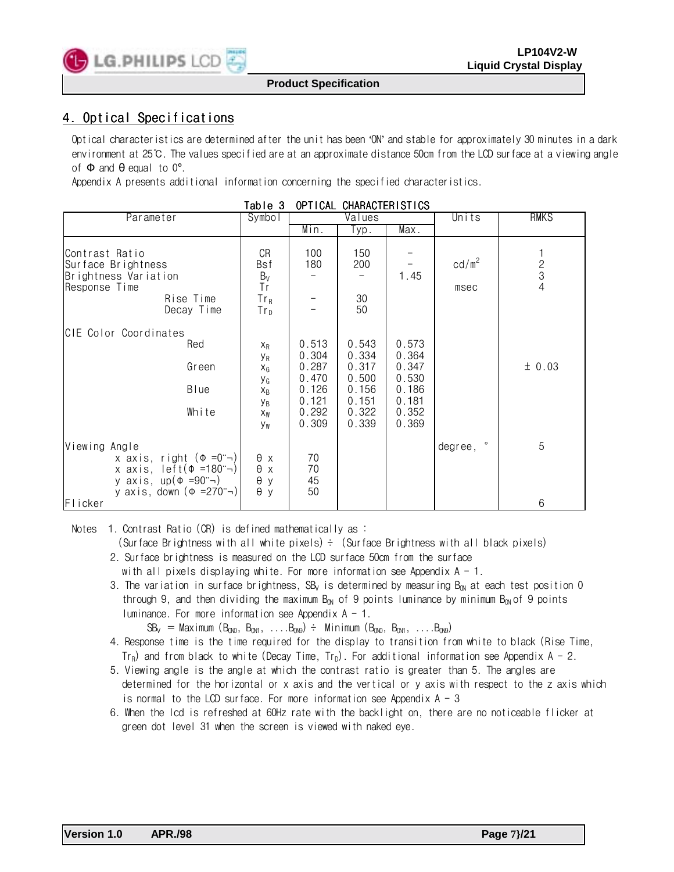

## 4. Optical Specifications

Optical characteristics are determined after the unit has been 'ON' and stable for approximately 30 minutes in a dark environment at 25℃. The values specified are at an approximate distance 50cm from the LCD surface at a viewing angle of  $\Phi$  and  $\theta$  equal to  $0^\circ$ .

Appendix A presents additional information concerning the specified characteristics.

|                                                                                                                                                                                                                     | lable 3                                                                           |                                                                      | UPTICAL CHARACTERISIICS                                              |                                                                      |                           |                                            |
|---------------------------------------------------------------------------------------------------------------------------------------------------------------------------------------------------------------------|-----------------------------------------------------------------------------------|----------------------------------------------------------------------|----------------------------------------------------------------------|----------------------------------------------------------------------|---------------------------|--------------------------------------------|
| Parameter                                                                                                                                                                                                           | $\overline{Syn}$ bol                                                              |                                                                      | Values                                                               |                                                                      | Units                     | <b>RMKS</b>                                |
|                                                                                                                                                                                                                     |                                                                                   | Min.                                                                 | Typ.                                                                 | Max.                                                                 |                           |                                            |
| Contrast Ratio<br>Surface Brightness<br>Brightness Variation<br>Response Time<br>Rise Time<br>Decay Time                                                                                                            | CR<br>Bsf<br>$B_V$<br>Tr<br>$Tr_R$<br>$Tr_D$                                      | 100<br>180                                                           | 150<br>200<br>30<br>50                                               | 1.45                                                                 | cd/m <sup>2</sup><br>msec | $\begin{array}{c} 2 \\ 3 \\ 4 \end{array}$ |
| CIE Color Coordinates<br>Red<br>Green<br>Blue<br>White                                                                                                                                                              | $X_{R}$<br>УR<br>$X_{G}$<br>УG<br>$X_{R}$<br><b>Y</b> <sub>B</sub><br>$X_W$<br>Уw | 0.513<br>0.304<br>0.287<br>0.470<br>0.126<br>0.121<br>0.292<br>0.309 | 0.543<br>0.334<br>0.317<br>0.500<br>0.156<br>0.151<br>0.322<br>0.339 | 0.573<br>0.364<br>0.347<br>0.530<br>0.186<br>0.181<br>0.352<br>0.369 |                           | ± 0.03                                     |
| Viewing<br>Angle<br>x axis, right $(\Phi = 0^{\circ} \neg)$<br>x axis, left( $\Phi$ =180 $\rightarrow$ )<br>y axis, up( $\Phi = 90$ ; $\rightarrow$ )<br>y axis, down $(\Phi = 270^{\circ} \rightarrow)$<br>Flicker | $\theta$ x<br>θх<br>θ<br>y<br>$\theta$ y                                          | 70<br>70<br>45<br>50                                                 |                                                                      |                                                                      | degree, °                 | 5<br>6                                     |

ADTION OUADACTERIOTICS

Notes 1. Contrast Ratio (CR) is defined mathematically as :

(Surface Brightness with all white pixels)  $\div$  (Surface Brightness with all black pixels)

- 2. Surface brightness is measured on the LCD surface 50cm from the surface with all pixels displaying white. For more information see Appendix  $A - 1$ .
- 3. The variation in surface brightness, SB<sub>V</sub> is determined by measuring B<sub>ON</sub> at each test position 0 through 9, and then dividing the maximum B<sub>ON</sub> of 9 points luminance by minimum B<sub>ON</sub> of 9 points luminance. For more information see Appendix  $A - 1$ .

 $SB_V =$  Maximum  $(B_{0N0}, B_{0N1}, \ldots, B_{0N9}) \div$  Minimum  $(B_{0N0}, B_{0N1}, \ldots, B_{0N9})$ 

- 4. Response time is the time required for the display to transition from white to black (Rise Time, Tr<sub>R</sub>) and from black to white (Decay Time, Tr<sub>D</sub>). For additional information see Appendix A - 2.
- 5. Viewing angle is the angle at which the contrast ratio is greater than 5. The angles are determined for the horizontal or x axis and the vertical or y axis with respect to the z axis which is normal to the LCD surface. For more information see Appendix  $A - 3$
- 6. When the lcd is refreshed at 60Hz rate with the backlight on, there are no noticeable flicker at green dot level 31 when the screen is viewed with naked eye.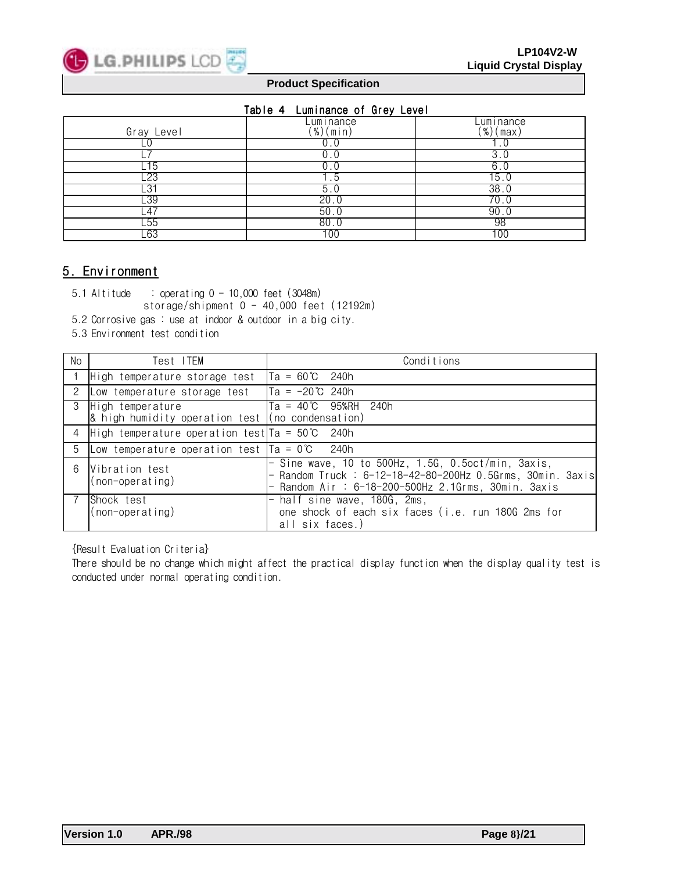

### Table 4 Luminance of Grey Level

|                | rabio i caminanoo of aroj covor |                       |
|----------------|---------------------------------|-----------------------|
| Gray Level     | Luminance<br>$(\%)$ (min)       | _uminance<br>(%)(max) |
|                |                                 |                       |
|                |                                 |                       |
|                |                                 |                       |
| .15            | 0.U                             | 6.                    |
| 23             |                                 | 15                    |
| -31            | 5.U                             | 38.0                  |
| $-39$          | 20.0                            | 70.0                  |
| $\overline{4}$ | 50.0                            | 90                    |
| -55            | 80.0                            | 98                    |
| L63            | 100                             | 100                   |

## 5. Environment

5.1 Altitude : operating 0 - 10,000 feet (3048m)

storage/shipment 0 - 40,000 feet (12192m)

- 5.2 Corrosive gas : use at indoor & outdoor in a big city.
- 5.3 Environment test condition

| No            | Test ITEM                                                                            | Conditions                                                                                                                                                                 |
|---------------|--------------------------------------------------------------------------------------|----------------------------------------------------------------------------------------------------------------------------------------------------------------------------|
|               | High temperature storage test                                                        | $Ta = 60^{\circ}C$ 240h                                                                                                                                                    |
| 2             | Low temperature storage test                                                         | $Ta = -20^{\circ}C$ 240h                                                                                                                                                   |
| $\mathcal{S}$ | High temperature<br>$\alpha$ high humidity operation test $\alpha$ (no condensation) | $Ta = 40^{\circ}C$ 95%RH 240h                                                                                                                                              |
|               | 4 High temperature operation test $Ta = 50^{\circ}C$ 240h                            |                                                                                                                                                                            |
| 5             | Low temperature operation test $Ta = 0^{\circ}C$                                     | 240h                                                                                                                                                                       |
| 6             | Vibration test<br>$(non-operating)$                                                  | $-$ Sine wave, 10 to $500Hz$ , 1.5G, 0.5oct/min, 3axis,<br>- Random Truck : 6-12-18-42-80-200Hz  0.5Grms, 30min. 3axis<br>Random Air: 6-18-200-500Hz 2.1Grms, 30min. 3axis |
|               | Shock test<br>$non-operatorating)$                                                   | half sine wave, 180G, 2ms,<br>one shock of each six faces (i.e. run 180G 2ms for<br>all six faces.)                                                                        |

{Result Evaluation Criteria}

There should be no change which might affect the practical display function when the display quality test is conducted under normal operating condition.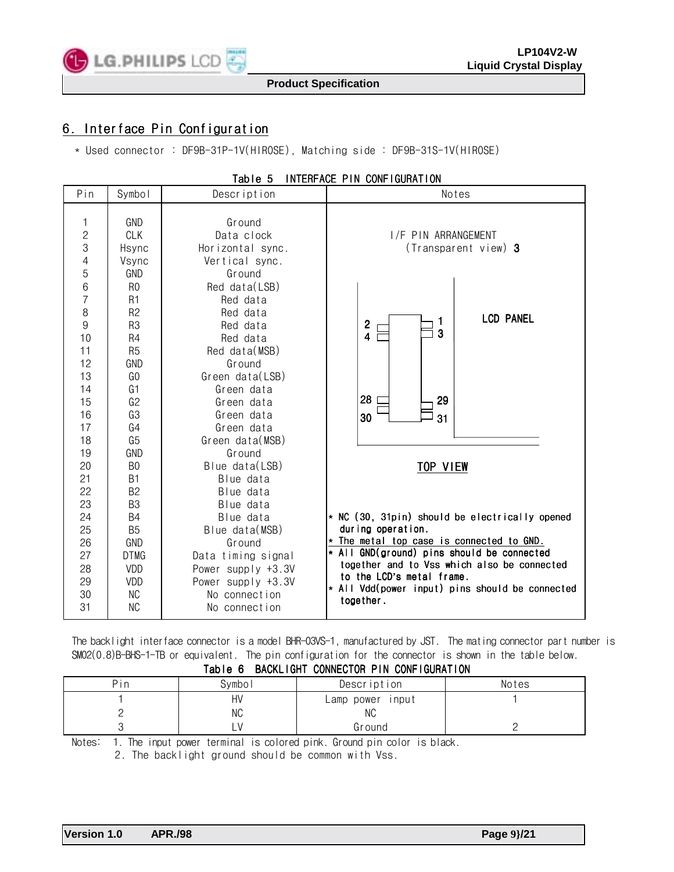

## 6. Interface Pin Configuration

\* Used connector : DF9B-31P-1V(HIROSE), Matching side : DF9B-31S-1V(HIROSE)

| Pin                                                                                   | Symbol                                                                                                                                                               | Description                                                                                                                                                      | Notes                                                                                                                                                                             |
|---------------------------------------------------------------------------------------|----------------------------------------------------------------------------------------------------------------------------------------------------------------------|------------------------------------------------------------------------------------------------------------------------------------------------------------------|-----------------------------------------------------------------------------------------------------------------------------------------------------------------------------------|
| 1<br>$\overline{c}$<br>3<br>4<br>5<br>6<br>$\overline{7}$<br>8<br>9<br>10<br>11<br>12 | <b>GND</b><br><b>CLK</b><br>Hsync<br>Vsync<br>GND<br>R <sub>0</sub><br>R <sub>1</sub><br>R <sub>2</sub><br>R <sub>3</sub><br>R <sub>4</sub><br>R <sub>5</sub><br>GND | Ground<br>Data clock<br>Horizontal sync.<br>Vertical sync.<br>Ground<br>Red data(LSB)<br>Red data<br>Red data<br>Red data<br>Red data<br>Red data(MSB)<br>Ground | I/F PIN ARRANGEMENT<br>(Transparent view) 3<br><b>LCD PANEL</b><br>$\overline{2}$<br>3<br>$\overline{\mathbf{4}}$                                                                 |
| 13<br>14<br>15<br>16<br>17<br>18                                                      | G <sub>0</sub><br>G <sub>1</sub><br>G2<br>G3<br>G4<br>G <sub>5</sub>                                                                                                 | Green data(LSB)<br>Green data<br>Green data<br>Green data<br>Green data<br>Green data(MSB)                                                                       | 28<br>29<br>30<br>31                                                                                                                                                              |
| 19<br>20<br>21<br>22<br>23<br>24<br>25<br>26                                          | GND<br>B <sub>0</sub><br><b>B1</b><br>B <sub>2</sub><br>B <sub>3</sub><br><b>B4</b><br>B <sub>5</sub><br>GND                                                         | Ground<br>Blue data(LSB)<br>Blue data<br>Blue data<br>Blue data<br>Blue data<br>Blue data(MSB)<br>Ground                                                         | <b>TOP VIEW</b><br>* NC (30, 31pin) should be electrically opened<br>during operation.<br>* The metal top case is connected to GND.<br>* All GND(ground) pins should be connected |
| 27<br>28<br>29<br>30<br>31                                                            | <b>DTMG</b><br>VDD<br>VDD<br><b>NC</b><br><b>NC</b>                                                                                                                  | Data timing signal<br>Power supply +3.3V<br>Power supply +3.3V<br>No connection<br>No connection                                                                 | together and to Vss which also be connected<br>to the LCD's metal frame.<br>* All Vdd(power input) pins should be connected<br>together.                                          |

## Table 5 INTERFACE PIN CONFIGURATION

The backlight interface connector is a model BHR-03VS-1, manufactured by JST. The mating connector part number is SM02(0.8)B-BHS-1-TB or equivalent. The pin configuration for the connector is shown in the table below. Table 6 BACKLIGHT CONNECTOR PIN CONFIGURATION

| י טועטו<br><b>PAULLIUIL OUNILOIUI LIN OUN LUURINIU</b> |        |                         |       |  |  |  |
|--------------------------------------------------------|--------|-------------------------|-------|--|--|--|
| Pin                                                    | Symbol | Description             | Notes |  |  |  |
|                                                        | HV     | Lamp power input        |       |  |  |  |
|                                                        | ΝC     | ΝC                      |       |  |  |  |
|                                                        |        | Ground                  |       |  |  |  |
| $\cdots$<br>$\sim$ $\sim$ $\sim$ $\sim$                |        | $\sim$ $\sim$<br>.<br>. |       |  |  |  |

Notes: 1. The input power terminal is colored pink. Ground pin color is black.

2. The backlight ground should be common with Vss.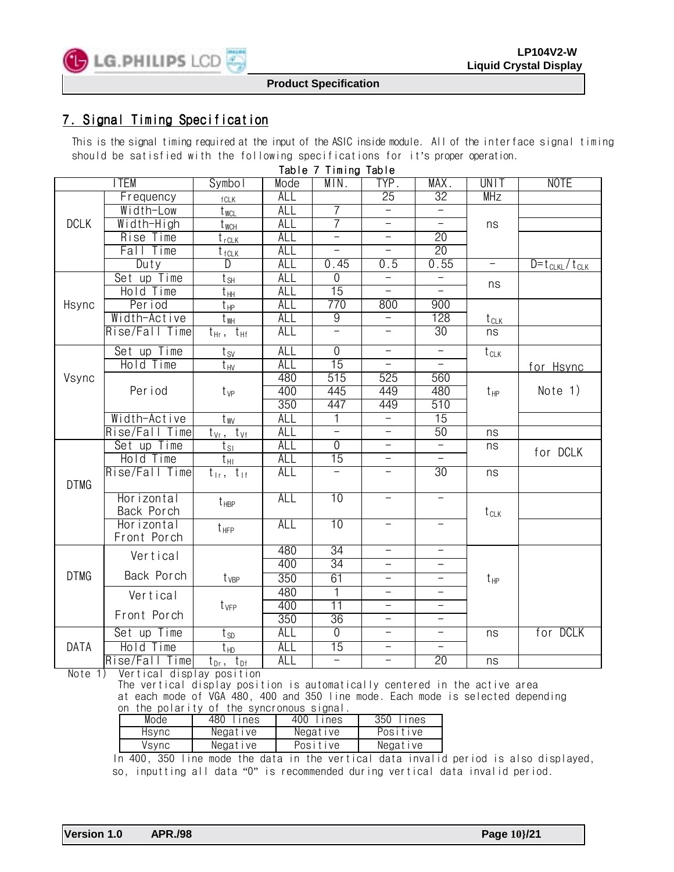

## 7. Signal Timing Specification

This is the signal timing required at the input of the ASIC inside module. All of the interface signal timing should be satisfied with the following specifications for it's proper operation.

|             | ITEM              | Symbol                         | Mode       | Table / Timing<br>MIN.   | Table<br>TYP.            | MAX.                     | UNIT                        | <b>NOTE</b>                       |
|-------------|-------------------|--------------------------------|------------|--------------------------|--------------------------|--------------------------|-----------------------------|-----------------------------------|
|             | Frequency         |                                | <b>ALL</b> |                          | 25                       | 32                       | <b>MHz</b>                  |                                   |
|             | Width-Low         | $fCLK$<br>$t_{WCL}$            | ALL        | 7                        |                          |                          |                             |                                   |
| <b>DCLK</b> | Width-High        | $t_{\text{WCH}}$               | <b>ALL</b> | 7                        |                          |                          | ns                          |                                   |
|             | Rise Time         | $t_{rCLK}$                     | <b>ALL</b> | $\overline{\phantom{0}}$ |                          | 20                       |                             |                                   |
|             | Time<br>Fall      | $t_{fCLK}$                     | <b>ALL</b> | $\equiv$                 | $\overline{\phantom{0}}$ | 20                       |                             |                                   |
|             | Duty              | D                              | ALL        | 0.45                     | $\overline{0.5}$         | 0.55                     | $\equiv$                    | $\overline{D} = t_{CLKL}/t_{CLK}$ |
|             | Set up Time       | $t_{\,\mathrm{SH}}$            | <b>ALL</b> | $\overline{0}$           | $\overline{\phantom{0}}$ | $\overline{\phantom{0}}$ |                             |                                   |
|             | Hold Time         | $t_{HH}$                       | <b>ALL</b> | 15                       | $\overline{\phantom{0}}$ | $\equiv$                 | ns                          |                                   |
| Hsync       | Period            | $t_{\rm HP}$                   | <b>ALL</b> | 770                      | 800                      | 900                      |                             |                                   |
|             | Width-Active      | t <sub>wH</sub>                | <b>ALL</b> | $\overline{9}$           | $\overline{\phantom{0}}$ | 128                      | $t_{CLK}$                   |                                   |
|             | Rise/Fall Time    | $t_{\rm Hf}$<br>$t_{\rm Hr}$ , | ALL        | Ξ                        | $\overline{\phantom{0}}$ | 30                       | ns                          |                                   |
|             | Set up Time       | $t_{\text{SV}}$                | <b>ALL</b> | $\overline{0}$           | $\equiv$                 | $\equiv$                 | $\overline{t}_{\text{CLK}}$ |                                   |
|             | Hold Time         | $t_{\text{HV}}$                | <b>ALL</b> | 15                       |                          |                          |                             | for Hsync                         |
| Vsync       |                   |                                | 480        | 515                      | 525                      | 560                      |                             |                                   |
|             | Per i od          | $t_{VP}$                       | 400        | 445                      | 449                      | 480                      | $t_{\text{HP}}$             | Note $1)$                         |
|             |                   |                                | 350        | 447                      | 449                      | 510                      |                             |                                   |
|             | Width-Active      | $t_{WV_{-}}$                   | <b>ALL</b> | 1                        | $\overline{\phantom{0}}$ | $\overline{15}$          |                             |                                   |
|             | Rise/Fall Time    | $t_{Vr}$ , $t_{Vf}$            | ALL        | Ξ                        | $\equiv$                 | 50                       | ns                          |                                   |
|             | Set up Time       | $t_{\text{SI}}$                | <b>ALL</b> | $\overline{0}$           | $\equiv$                 | $\overline{\phantom{0}}$ | ns                          | for DCLK                          |
|             | Hold Time         | $t_{\rm HI}$                   | <b>ALL</b> | 15                       | $\overline{\phantom{0}}$ | $\overline{\phantom{0}}$ |                             |                                   |
|             | Rise/Fall Time    | $t_{1r}$ , $t_{1f}$            | ALL        | $\equiv$                 | $\overline{\phantom{0}}$ | 30                       | ns                          |                                   |
| <b>DTMG</b> |                   |                                |            |                          |                          |                          |                             |                                   |
|             | Horizontal        | $t_{\text{HBP}}$               | <b>ALL</b> | 10                       | $\equiv$                 | $\overline{\phantom{0}}$ |                             |                                   |
|             | Back Porch        |                                |            |                          |                          |                          | $t_{CLK}$                   |                                   |
|             | Horizontal        | $t_{\text{HFP}}$               | <b>ALL</b> | 10                       |                          |                          |                             |                                   |
|             | Front Porch       |                                | 480        | 34                       | $\equiv$                 | $\equiv$                 |                             |                                   |
|             | Vertical          |                                | 400        | 34                       |                          |                          |                             |                                   |
| <b>DTMG</b> | Back Porch        | $t_{VBP}$                      | 350        | 61                       | $\overline{\phantom{0}}$ | $\qquad \qquad -$        |                             |                                   |
|             |                   |                                | 480        | $\overline{1}$           | $\overline{\phantom{0}}$ |                          | $t_{\text{HP}}$             |                                   |
|             | Vertical          |                                | 400        | $\overline{11}$          | $\overline{\phantom{0}}$ | $\equiv$                 |                             |                                   |
|             | Front Porch       | $t_{VFP}$                      | 350        | 36                       | $\overline{\phantom{0}}$ | $\overline{\phantom{0}}$ |                             |                                   |
|             | Set up Time       |                                | ALL        | $\overline{0}$           | $\overline{\phantom{0}}$ | $\qquad \qquad -$        | ns                          | for DCLK                          |
| <b>DATA</b> | Hold Time         | $t_{SD}$                       | <b>ALL</b> | 15                       | $\qquad \qquad -$        | $\qquad \qquad -$        |                             |                                   |
|             |                   | $t_{HD}$                       | <b>ALL</b> | $\equiv$                 | $\equiv$                 | 20                       |                             |                                   |
|             | Rise/Fall<br>Time | $t_{Dr}$ , $t_{Df}$            |            |                          |                          |                          | ns                          |                                   |

 $T = \begin{bmatrix} 1 & 0 \\ 0 & 1 \end{bmatrix}$ 

Note 1) Vertical display position

 The vertical display position is automatically centered in the active area at each mode of VGA 480, 400 and 350 line mode. Each mode is selected depending on the polarity of the syncronous signal.

| Mode  | 480<br>ines | 400<br>ines | 350<br>lines |
|-------|-------------|-------------|--------------|
| Hsvnc | Negative    | Negative    | Positive     |
| Vsvnc | Negative    | Positive    | Negative     |

 In 400, 350 line mode the data in the vertical data invalid period is also displayed, so, inputting all data "0" is recommended during vertical data invalid period.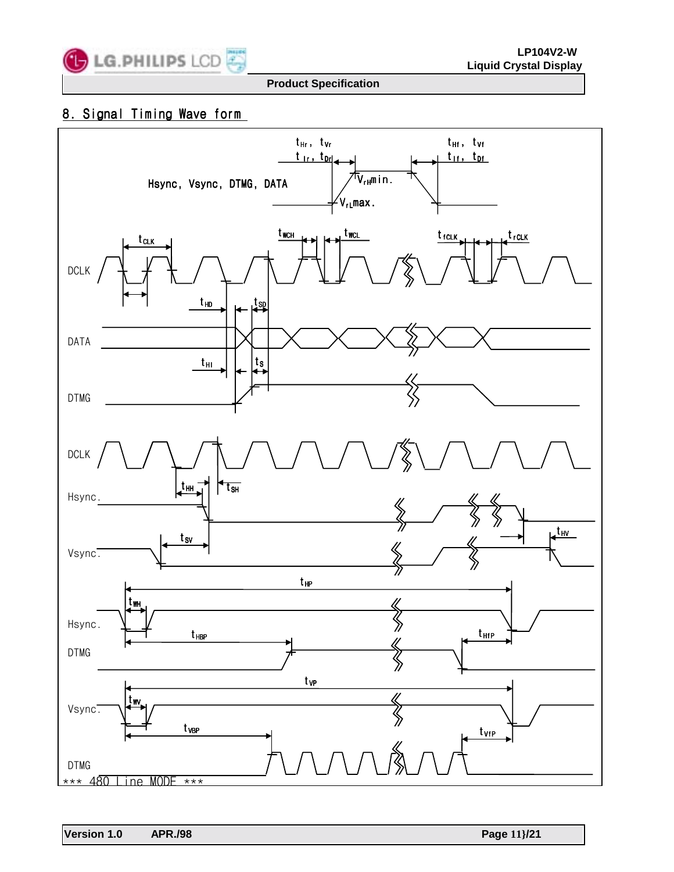

## 8. Signal Timing Wave form

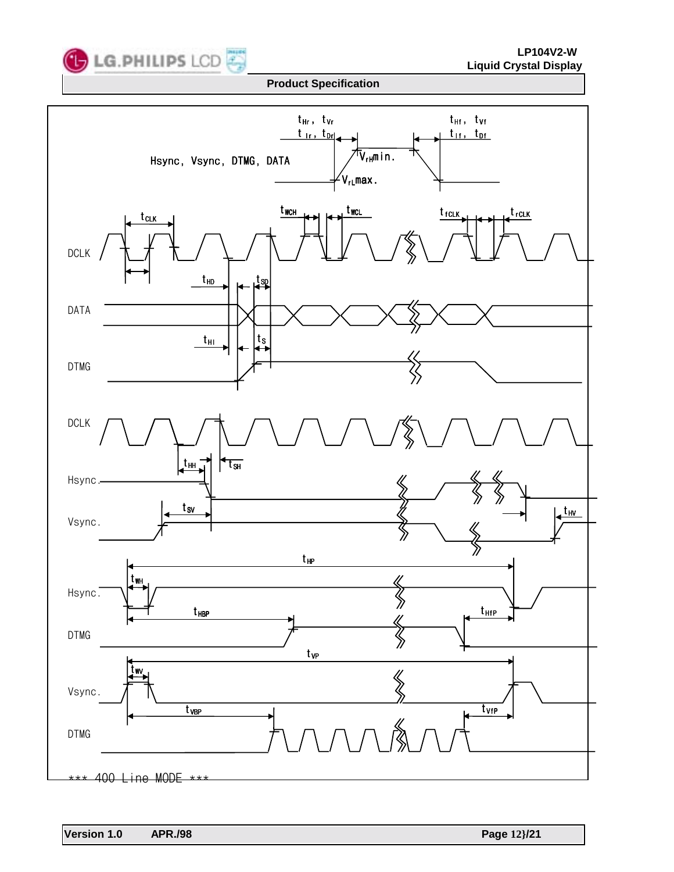

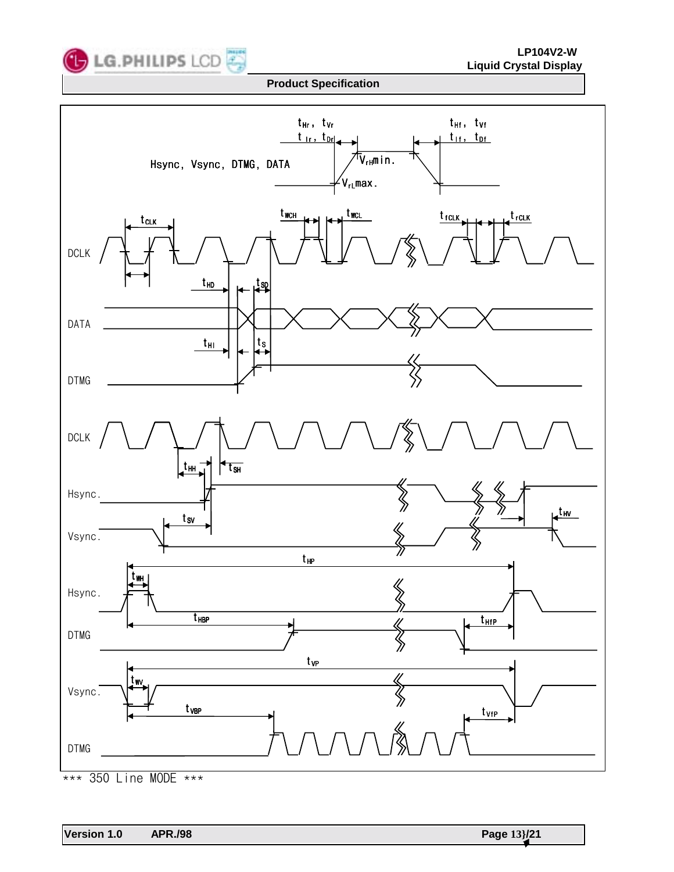



<sup>\*\*\* 350</sup> Line MODE \*\*\*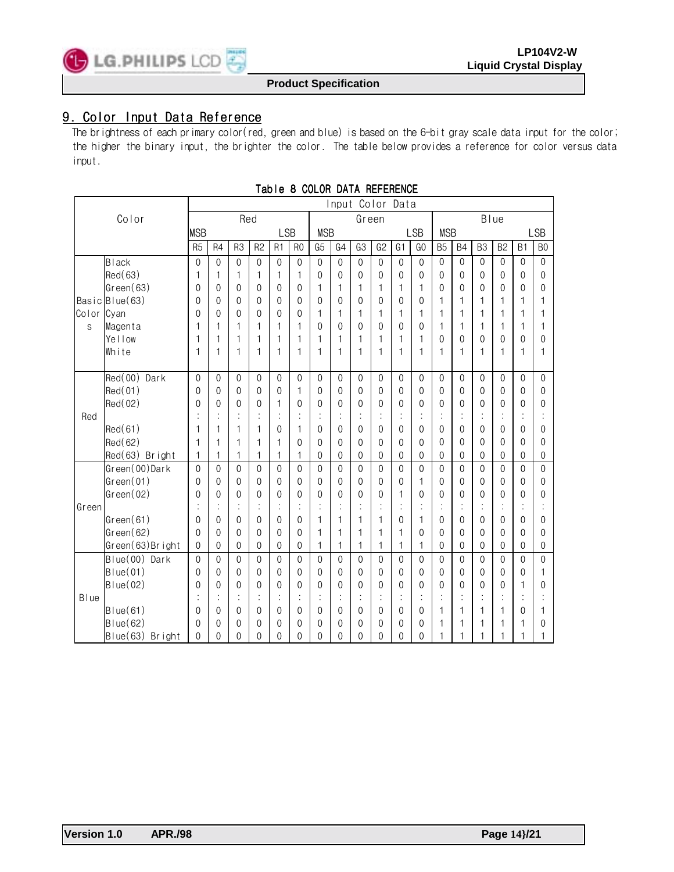

## 9. Color Input Data Reference

The brightness of each primary color(red, green and blue) is based on the 6-bit gray scale data input for the color; the higher the binary input, the brighter the color. The table below provides a reference for color versus data input.

|              |                    | Input Color Data |                      |                |                  |                |                |                |                |              |                |                |                  |                |                |                |                |                |                |
|--------------|--------------------|------------------|----------------------|----------------|------------------|----------------|----------------|----------------|----------------|--------------|----------------|----------------|------------------|----------------|----------------|----------------|----------------|----------------|----------------|
|              | Color              | Red              |                      |                |                  | Green          |                |                |                | Blue         |                |                |                  |                |                |                |                |                |                |
| <b>MSB</b>   |                    |                  |                      |                |                  | <b>LSB</b>     |                | <b>MSB</b>     |                |              |                |                | <b>LSB</b>       | <b>MSB</b>     |                |                |                |                | <b>LSB</b>     |
|              |                    | R <sub>5</sub>   | R4                   | R <sub>3</sub> | R <sub>2</sub>   | R <sub>1</sub> | R <sub>0</sub> | G <sub>5</sub> | G <sub>4</sub> | G3           | G <sub>2</sub> | G <sub>1</sub> | G <sub>0</sub>   | B <sub>5</sub> | <b>B4</b>      | B <sub>3</sub> | B <sub>2</sub> | B <sub>1</sub> | B <sub>0</sub> |
|              | <b>Black</b>       | $\mathbf{0}$     | $\theta$             | $\theta$       | $\boldsymbol{0}$ | $\mathbf{0}$   | $\mathbf 0$    | $\mathbf 0$    | $\theta$       | $\mathbf{0}$ | $\mathbf{0}$   | $\mathbf{0}$   | $\boldsymbol{0}$ | $\mathbf{0}$   | $\mathbf{0}$   | $\theta$       | $\mathbf 0$    | $\mathbf{0}$   | $\mathbf{0}$   |
|              | Red(63)            | 1                | 1                    | 1              | 1                | 1              | 1              | 0              | 0              | $\mathbf 0$  | 0              | $\theta$       | 0                | $\theta$       | $\theta$       | $\theta$       | $\theta$       | $\theta$       | 0              |
|              | Green(63)          | 0                | 0                    | $\theta$       | $\mathbf 0$      | $\mathbf 0$    | 0              | 1              | 1              | 1            | 1              | 1              | 1                | 0              | $\mathbf 0$    | $\mathbf{0}$   | $\mathbf 0$    | 0              | $\mathbf{0}$   |
|              | Basic Blue(63)     | 0                | $\mathbf{0}$         | $\Omega$       | $\theta$         | $\theta$       | 0              | $\mathbf{0}$   | 0              | $\mathbf{0}$ | 0              | $\Omega$       | 0                | 1              | 1              | 1              | 1              | $\mathbf 1$    | 1              |
| Color        | Cyan               | 0                | 0                    | $\Omega$       | $\theta$         | 0              | 0              | 1              | 1              | 1            | 1              | 1              | 1                | 1              | 1              | 1              | 1              | 1              | 1              |
| S            | Magenta            | 1                | 1                    | 1              | 1                | 1              | 1              | $\mathbf{0}$   | $\Omega$       | $\mathbf{0}$ | $\Omega$       | $\Omega$       | $\theta$         | 1              | 1              | 1              | 1              | 1              | 1              |
|              | Yellow             | 1                | 1                    | $\mathbf{1}$   | 1                | 1              | 1              | 1              | 1              | 1            | 1              | 1              | 1                | 0              | $\mathbf{0}$   | 0              | $\theta$       | 0              | $\theta$       |
|              | White              | 1                | 1                    | 1              | 1                | 1              | 1              | 1              | 1              | 1            | 1              | 1              | 1                | 1              | 1              | 1              | 1              | 1              | 1              |
|              |                    |                  |                      |                |                  |                |                |                |                |              |                |                |                  |                |                |                |                |                |                |
|              | Red(00)<br>Dark    | $\mathbf 0$      | $\mathbf{0}$         | $\mathbf{0}$   | $\mathbf{0}$     | $\mathbf{0}$   | $\mathbf 0$    | $\mathbf 0$    | $\mathbf{0}$   | $\mathbf{0}$ | $\mathbf{0}$   | $\mathbf 0$    | $\mathbf{0}$     | $\mathbf 0$    | $\mathbf{0}$   | 0              | $\mathbf 0$    | $\mathbf{0}$   | $\mathbf{0}$   |
|              | Red(01)            | $\mathbf 0$      | 0                    | $\theta$       | $\mathbf 0$      | 0              | 1              | 0              | $\mathbf{0}$   | $\mathbf 0$  | $\mathbf{0}$   | $\theta$       | 0                | 0              | 0              | 0              | $\theta$       | 0              | 0              |
|              | Red(02)            | 0                | 0                    | $\theta$       | 0                | 1              | 0              | 0              | $\mathbf{0}$   | $\theta$     | 0              | $\theta$       | $\mathbf{0}$     | 0              | $\mathbf{0}$   | 0              | $\mathbf{0}$   | 0              | 0              |
| Red          |                    | $\vdots$         | t                    |                | $\vdots$         | $\vdots$       | $\ddot{\cdot}$ | ÷              | t              | ÷            | t              |                | t                | t              | t              | $\vdots$       | $\ddot{\cdot}$ |                |                |
|              | Red(61)            | 1                | 1                    | 1              | 1                | 0              | 1              | 0              | 0              | $\mathbf 0$  | 0              | $\theta$       | 0                | 0              | $\mathbf{0}$   | 0              | $\theta$       | 0              | 0              |
|              | Red(62)            | 1                | 1                    | 1              | 1                | 1              | $\mathbf{0}$   | $\theta$       | $\theta$       | $\theta$     | $\mathbf{0}$   | $\theta$       | $\theta$         | $\theta$       | $\theta$       | $\mathbf{0}$   | $\theta$       | $\theta$       | $\theta$       |
|              | Red(63) Bright     | 1                | 1                    | $\mathbf{1}$   | 1                | 1              | 1              | $\mathbf 0$    | $\theta$       | $\mathbf 0$  | $\mathbf{0}$   | $\theta$       | $\mathbf{0}$     | $\mathbf{0}$   | $\mathbf{0}$   | $\theta$       | $\theta$       | $\mathbf{0}$   | $\mathbf{0}$   |
|              | Green(00)Dark      | $\mathbf{0}$     | $\theta$             | $\theta$       | $\mathbf{0}$     | $\theta$       | $\mathbf{0}$   | $\mathbf{0}$   | $\theta$       | $\theta$     | $\mathbf{0}$   | $\theta$       | $\mathbf{0}$     | $\theta$       | $\overline{0}$ | 0              | $\theta$       | $\mathbf{0}$   | $\overline{0}$ |
|              | Green(01)          | $\theta$         | $\theta$             | $\Omega$       | 0                | $\theta$       | 0              | 0              | $\Omega$       | $\theta$     | $\theta$       | $\theta$       | 1                | 0              | $\mathbf{0}$   | 0              | $\theta$       | 0              | 0              |
|              | Green(02)          | $\mathbf{0}$     | $\theta$             | $\theta$       | $\theta$         | $\theta$       | $\mathbf{0}$   | $\theta$       | $\theta$       | $\theta$     | $\mathbf{0}$   | 1              | $\mathbf{0}$     | $\theta$       | $\mathbf 0$    | $\mathbf{0}$   | $\theta$       | $\theta$       | 0              |
| Green        |                    | ÷                | $\ddot{\cdot}$       |                | $\vdots$         | $\cdot$        | $\vdots$       | t              | $\cdot$        | t            | $\cdot$        |                | ٠                | t              | ÷              | ÷,             | $\cdot$        |                |                |
|              | Green(61)          | $\theta$         | 0                    | $\theta$       | $\mathbf 0$      | $\mathbf{0}$   | 0              | 1              | 1              | 1            | 1              | 0              | 1                | 0              | 0              | 0              | $\mathbf 0$    | 0              | $\mathbf{0}$   |
|              | Green(62)          | $\theta$         | $\theta$             | $\Omega$       | $\theta$         | $\theta$       | $\mathbf{0}$   | 1              | 1              | 1            | 1              | $\mathbf 1$    | $\theta$         | 0              | $\Omega$       | 0              | $\theta$       | 0              | 0              |
|              | Green(63)Bright    | $\theta$         | 0                    | $\theta$       | $\mathbf 0$      | $\Omega$       | 0              | 1              | $\mathbf{1}$   | 1            | 1              | 1              | 1                | 0              | $\mathbf{0}$   | $\mathbf{0}$   | $\theta$       | $\theta$       | 0              |
|              | Blue(00) Dark      | $\mathbf{0}$     | $\theta$             | $\Omega$       | $\mathbf{0}$     | $\mathbf{0}$   | $\mathbf{0}$   | $\mathbf{0}$   | $\Omega$       | $\theta$     | $\mathbf{0}$   | $\mathbf{0}$   | $\mathbf{0}$     | $\mathbf{0}$   | $\mathbf{0}$   | $\Omega$       | $\mathbf{0}$   | $\mathbf{0}$   | $\Omega$       |
|              | Blue(01)           | 0                | 0                    | 0              | $\theta$         | $\theta$       | 0              | $\theta$       | $\mathbf{0}$   | $\theta$     | 0              | $\theta$       | $\mathbf{0}$     | 0              | 0              | 0              | $\theta$       | 0              | 1              |
|              | Blue(02)           | 0                | 0                    | $\theta$       | $\theta$         | $\theta$       | $\Omega$       | $\theta$       | 0              | $\theta$     | 0              | $\theta$       | $\theta$         | $\theta$       | $\Omega$       | $\Omega$       | $\theta$       | 1              | 0              |
| <b>B</b> lue |                    | $\vdots$         | $\ddot{\phantom{a}}$ |                | $\ddot{\cdot}$   |                | İ              | $\vdots$       |                | ÷            |                |                | t                |                | t              |                |                |                |                |
|              | Blue(61)           | 0                | 0                    | $\theta$       | 0                | 0              | 0              | 0              | 0              | 0            | 0              | $\theta$       | 0                | 1              | 1              | 1              | 1              | 0              | 1              |
|              | Blue(62)           | 0                | 0                    | $\theta$       | 0                | 0              | 0              | 0              | 0              | 0            | 0              | $\theta$       | 0                | 1              | 1              | 1              | 1              | 1              | 0              |
|              | Blue(63)<br>Bright | 0                | 0                    | $\Omega$       | 0                | 0              | 0              | 0              | 0              | 0            | 0              | $\theta$       | 0                | 1              | 1              | 1              | 1              | 1              |                |

#### Table 8 COLOR DATA REFERENCE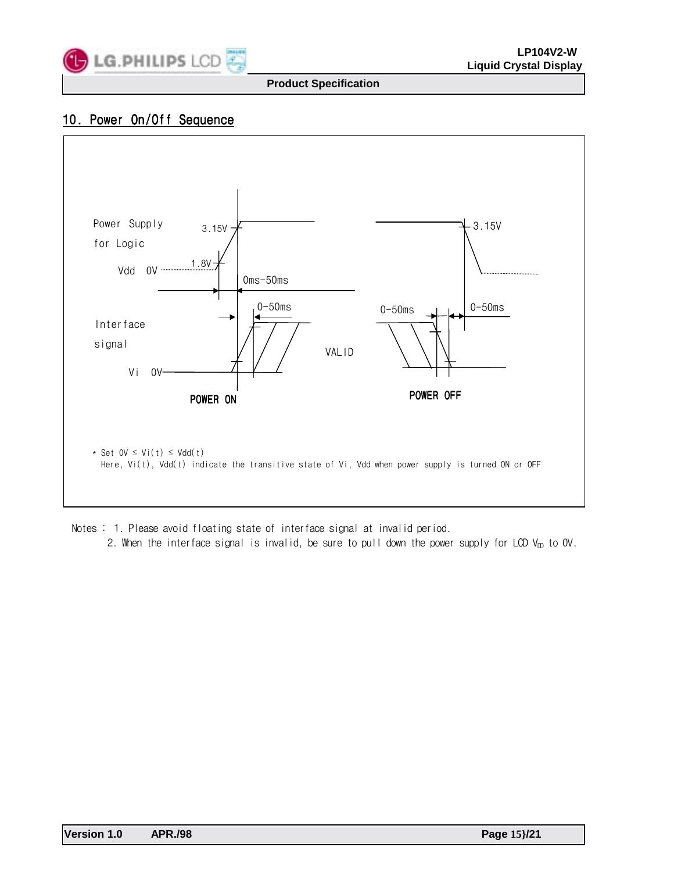

## 10. Power On/Off Sequence



Notes : 1. Please avoid floating state of interface signal at invalid period. 2. When the interface signal is invalid, be sure to pull down the power supply for LCD  $V_{DD}$  to OV.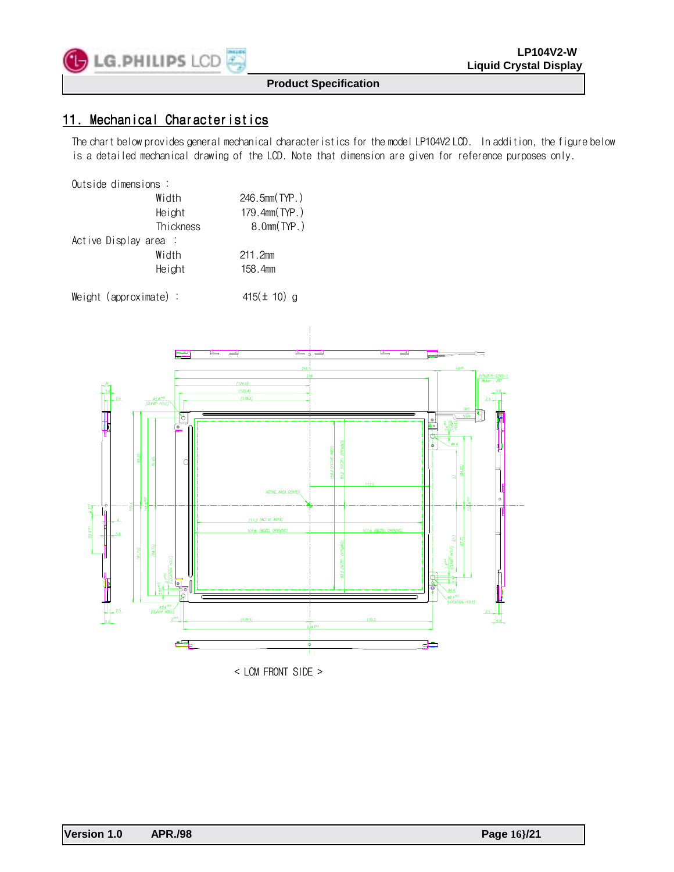![](_page_15_Picture_0.jpeg)

## 11. Mechanical Characteristics

The chart below provides general mechanical characteristics for the model LP104V2 LCD. In addition, the figure below is a detailed mechanical drawing of the LCD. Note that dimension are given for reference purposes only.

#### Outside dimensions :

|                      | Width     | 246.5mm(TYP.)      |
|----------------------|-----------|--------------------|
|                      | Height    | 179.4mm (TYP.)     |
|                      | Thickness | $8.0$ mm $(TYP. )$ |
| Active Display area: |           |                    |
|                      | Width     | 211.2mm            |
|                      | Height    | 158.4mm            |
|                      |           |                    |

Weight (approximate) :  $415(\pm 10)$  g

![](_page_15_Figure_9.jpeg)

< LCM FRONT SIDE >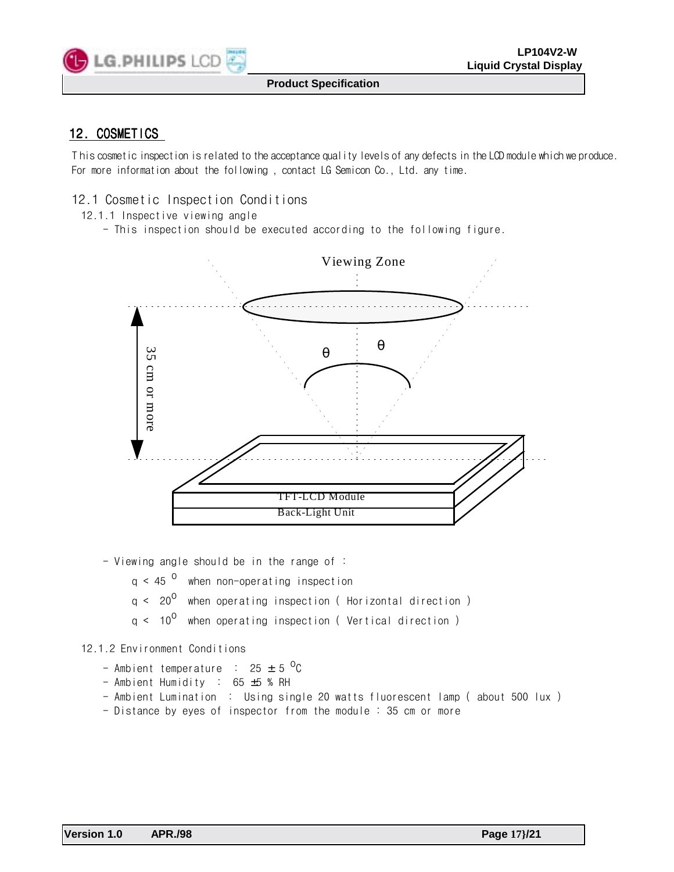![](_page_16_Picture_0.jpeg)

## 12. COSMETICS

T his cosmetic inspection is related to the acceptance quality levels of any defects in the LCD module which we produce. For more information about the following , contact LG Semicon Co., Ltd. any time.

## 12.1 Cosmetic Inspection Conditions

- 12.1.1 Inspective viewing angle
	- This inspection should be executed according to the following figure.

![](_page_16_Figure_8.jpeg)

- Viewing angle should be in the range of :

 $q < 45$ <sup>o</sup> when non-operating inspection

- $q < 20^{\circ}$  when operating inspection (Horizontal direction)
- $q < 10^{\circ}$  when operating inspection (Vertical direction)

#### 12.1.2 Environment Conditions

- Ambient temperature :  $25 \pm 5^\circ \text{C}$
- Ambient Humidity : 65 ±5 % RH
- Ambient Lumination : Using single 20 watts fluorescent lamp ( about 500 lux )
-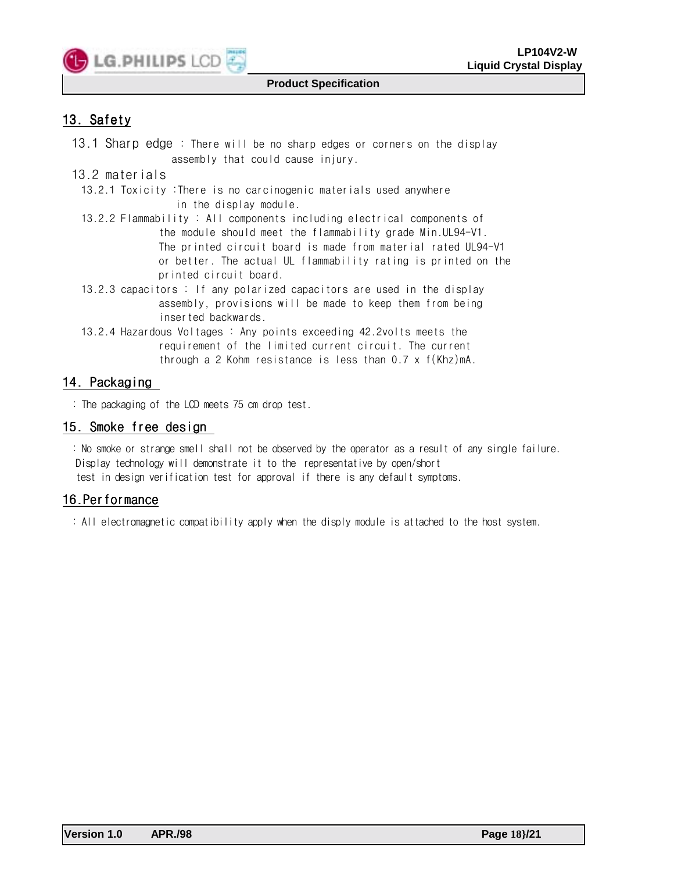![](_page_17_Picture_0.jpeg)

## 13. Safety

13.1 Sharp edge : There will be no sharp edges or corners on the display assembly that could cause injury.

## 13.2 materials

13.2.1 Toxicity :There is no carcinogenic materials used anywhere in the display module.

13.2.2 Flammability : All components including electrical components of the module should meet the flammability grade Min.UL94-V1. The printed circuit board is made from material rated UL94-V1 or better. The actual UL flammability rating is printed on the printed circuit board.

- 13.2.3 capacitors : If any polarized capacitors are used in the display assembly, provisions will be made to keep them from being inserted backwards.
- 13.2.4 Hazardous Voltages : Any points exceeding 42.2volts meets the requirement of the limited current circuit. The current through a 2 Kohm resistance is less than 0.7 x f(Khz)mA.

## 14. Packaging

: The packaging of the LCD meets 75 cm drop test.

## 15. Smoke free design

: No smoke or strange smell shall not be observed by the operator as a result of any single failure. Display technology will demonstrate it to the representative by open/short test in design verification test for approval if there is any default symptoms.

## 16.Performance

: All electromagnetic compatibility apply when the disply module is attached to the host system.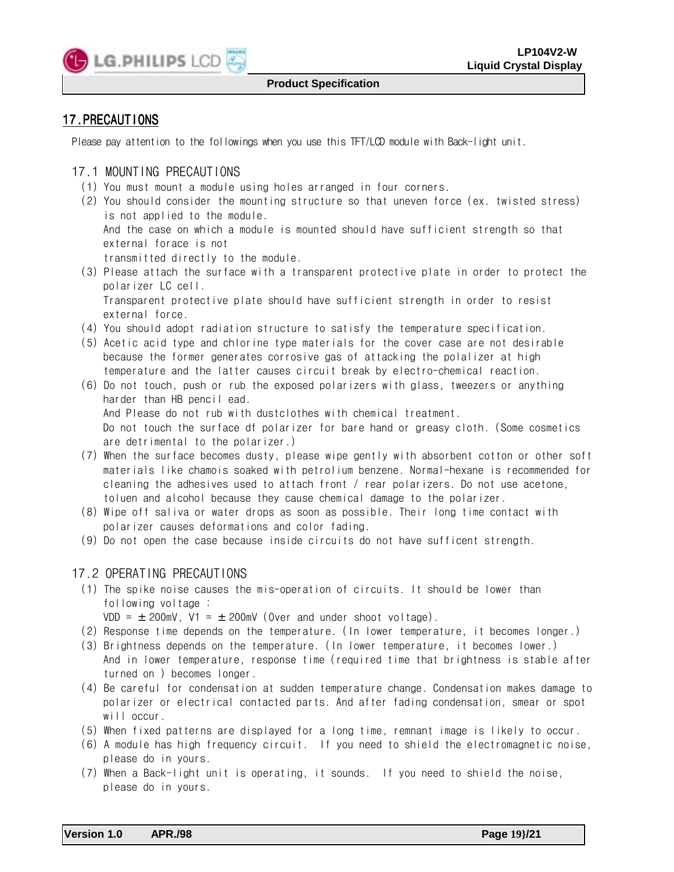![](_page_18_Picture_0.jpeg)

## 17.PRECAUTIONS

Please pay attention to the followings when you use this TFT/LCD module with Back-light unit.

## 17.1 MOUNTING PRECAUTIONS

- (1) You must mount a module using holes arranged in four corners.
- (2) You should consider the mounting structure so that uneven force (ex. twisted stress) is not applied to the module. And the case on which a module is mounted should have sufficient strength so that external forace is not
	- transmitted directly to the module.
- (3) Please attach the surface with a transparent protective plate in order to protect the polarizer LC cell.

 Transparent protective plate should have sufficient strength in order to resist external force.

- (4) You should adopt radiation structure to satisfy the temperature specification.
- (5) Acetic acid type and chlorine type materials for the cover case are not desirable because the former generates corrosive gas of attacking the polalizer at high temperature and the latter causes circuit break by electro-chemical reaction.
- (6) Do not touch, push or rub the exposed polarizers with glass, tweezers or anything harder than HB pencil ead. And Please do not rub with dustclothes with chemical treatment. Do not touch the surface df polarizer for bare hand or greasy cloth. (Some cosmetics are detrimental to the polarizer.)
- (7) When the surface becomes dusty, please wipe gently with absorbent cotton or other soft materials like chamois soaked with petrolium benzene. Normal-hexane is recommended for cleaning the adhesives used to attach front / rear polarizers. Do not use acetone, toluen and alcohol because they cause chemical damage to the polarizer.
- (8) Wipe off saliva or water drops as soon as possible. Their long time contact with polarizer causes deformations and color fading.
- (9) Do not open the case because inside circuits do not have sufficent strength.

## 17.2 OPERATING PRECAUTIONS

(1) The spike noise causes the mis-operation of circuits. It should be lower than following voltage :

VDD =  $\pm$  200mV, V1 =  $\pm$  200mV (Over and under shoot voltage).

- (2) Response time depends on the temperature. (In lower temperature, it becomes longer.)
- (3) Brightness depends on the temperature. (In lower temperature, it becomes lower.) And in lower temperature, response time (required time that brightness is stable after turned on ) becomes longer.
- (4) Be careful for condensation at sudden temperature change. Condensation makes damage to polarizer or electrical contacted parts. And after fading condensation, smear or spot will occur.
- (5) When fixed patterns are displayed for a long time, remnant image is likely to occur.
- (6) A module has high frequency circuit. If you need to shield the electromagnetic noise, please do in yours.
- (7) When a Back-light unit is operating, it sounds. If you need to shield the noise, please do in yours.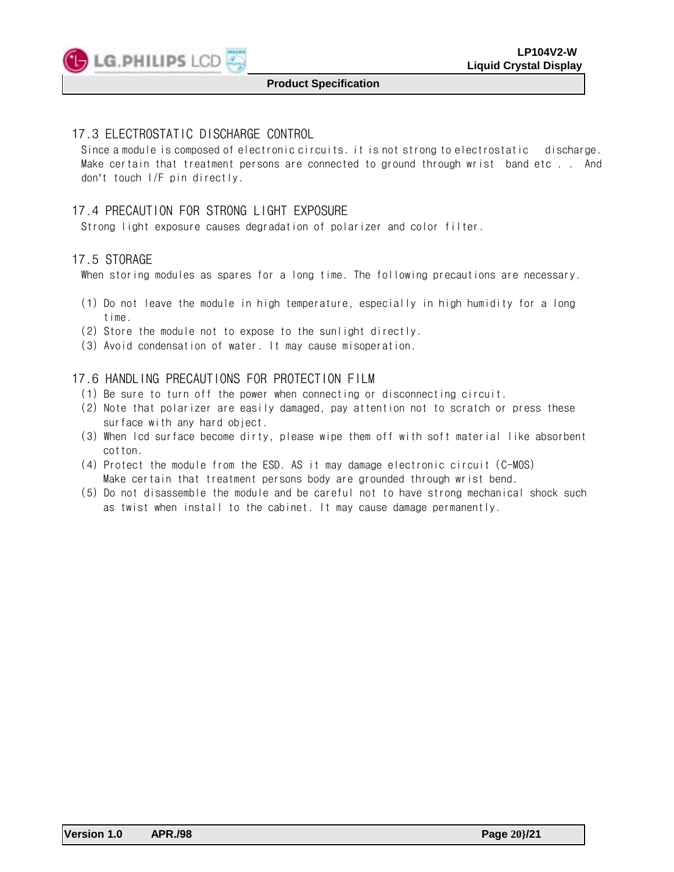![](_page_19_Picture_0.jpeg)

## 17.3 ELECTROSTATIC DISCHARGE CONTROL

Since a module is composed of electronic circuits. it is not strong to electrostatic discharge. Make certain that treatment persons are connected to ground through wrist band etc . . And don't touch I/F pin directly.

## 17.4 PRECAUTION FOR STRONG LIGHT EXPOSURE

Strong light exposure causes degradation of polarizer and color filter.

#### 17.5 STORAGE

When storing modules as spares for a long time. The following precautions are necessary.

- (1) Do not leave the module in high temperature, especially in high humidity for a long time.
- (2) Store the module not to expose to the sunlight directly.
- (3) Avoid condensation of water. It may cause misoperation.

#### 17.6 HANDLING PRECAUTIONS FOR PROTECTION FILM

- (1) Be sure to turn off the power when connecting or disconnecting circuit.
- (2) Note that polarizer are easily damaged, pay attention not to scratch or press these surface with any hard object.
- (3) When lcd surface become dirty, please wipe them off with soft material like absorbent cotton.
- (4) Protect the module from the ESD. AS it may damage electronic circuit (C-MOS) Make certain that treatment persons body are grounded through wrist bend.
- (5)Do not disassemble the module and be careful not to have strong mechanical shock such as twist when install to the cabinet. It may cause damage permanently.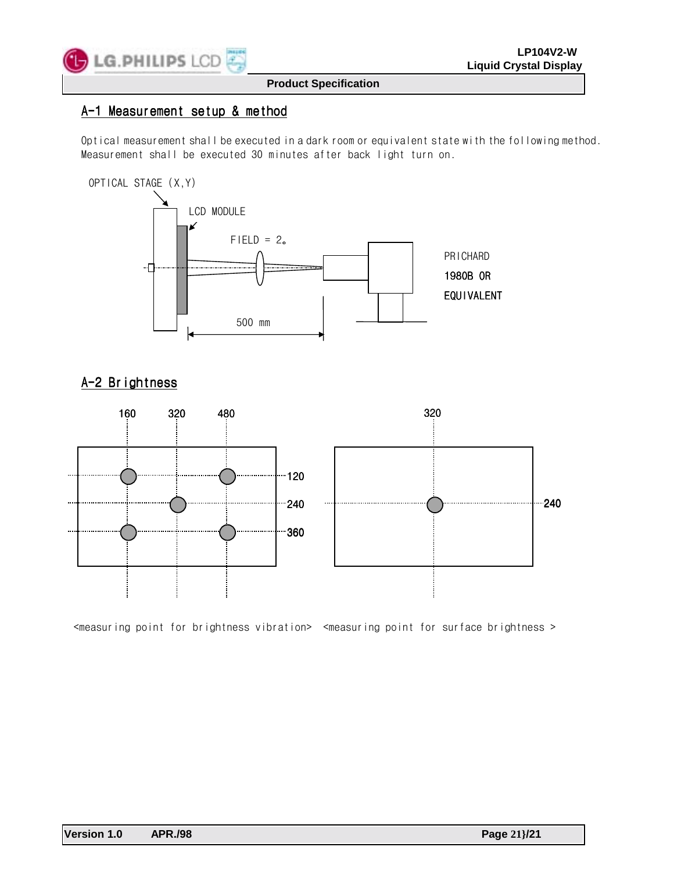![](_page_20_Picture_0.jpeg)

### A-1 Measurement setup & method

Optical measurement shall be executed in a dark room or equivalent state with the following method. Measurement shall be executed 30 minutes after back light turn on.

![](_page_20_Figure_5.jpeg)

## A-2 Brightness

![](_page_20_Figure_7.jpeg)

<measuring point for brightness vibration> <measuring point for surface brightness >